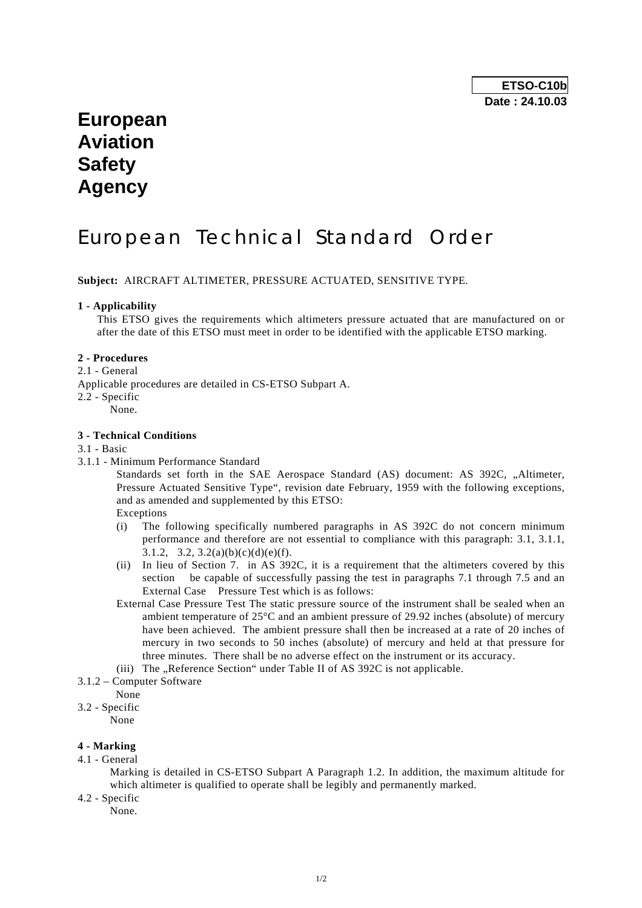## **European Aviation Safety Agency**

# European Technical Standard Order

**Subject:** AIRCRAFT ALTIMETER, PRESSURE ACTUATED, SENSITIVE TYPE.

#### **1 - Applicability**

 This ETSO gives the requirements which altimeters pressure actuated that are manufactured on or after the date of this ETSO must meet in order to be identified with the applicable ETSO marking.

#### **2 - Procedures**

2.1 - General

Applicable procedures are detailed in CS-ETSO Subpart A.

- 2.2 Specific
	- None.

#### **3 - Technical Conditions**

#### 3.1 - Basic

3.1.1 - Minimum Performance Standard

Standards set forth in the SAE Aerospace Standard (AS) document: AS 392C, "Altimeter, Pressure Actuated Sensitive Type", revision date February, 1959 with the following exceptions, and as amended and supplemented by this ETSO:

Exceptions

- (i) The following specifically numbered paragraphs in AS 392C do not concern minimum performance and therefore are not essential to compliance with this paragraph: 3.1, 3.1.1, 3.1.2, 3.2,  $3.2(a)(b)(c)(d)(e)(f)$ .
- (ii) In lieu of Section 7. in AS 392C, it is a requirement that the altimeters covered by this section be capable of successfully passing the test in paragraphs 7.1 through 7.5 and an External Case Pressure Test which is as follows:
- External Case Pressure Test The static pressure source of the instrument shall be sealed when an ambient temperature of 25°C and an ambient pressure of 29.92 inches (absolute) of mercury have been achieved. The ambient pressure shall then be increased at a rate of 20 inches of mercury in two seconds to 50 inches (absolute) of mercury and held at that pressure for three minutes. There shall be no adverse effect on the instrument or its accuracy.
- (iii) The  $\Delta$ Reference Section" under Table II of AS 392C is not applicable.
- 3.1.2 Computer Software
- None
- 3.2 Specific

None

### **4 - Marking**

4.1 - General

 Marking is detailed in CS-ETSO Subpart A Paragraph 1.2. In addition, the maximum altitude for which altimeter is qualified to operate shall be legibly and permanently marked.

4.2 - Specific

None.